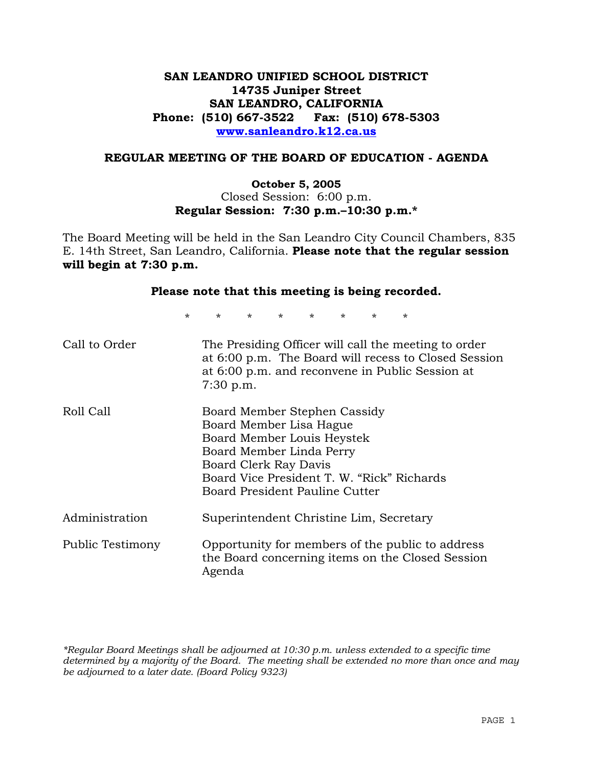## **SAN LEANDRO UNIFIED SCHOOL DISTRICT 14735 Juniper Street SAN LEANDRO, CALIFORNIA Phone: (510) 667-3522 Fax: (510) 678-5303 www.sanleandro.k12.ca.us**

#### **REGULAR MEETING OF THE BOARD OF EDUCATION - AGENDA**

#### **October 5, 2005**  Closed Session: 6:00 p.m. **Regular Session: 7:30 p.m.–10:30 p.m.\***

The Board Meeting will be held in the San Leandro City Council Chambers, 835 E. 14th Street, San Leandro, California. **Please note that the regular session will begin at 7:30 p.m.** 

| Please note that this meeting is being recorded. |                                                                                                                                                                                                                            |                                         |  |  |         |  |
|--------------------------------------------------|----------------------------------------------------------------------------------------------------------------------------------------------------------------------------------------------------------------------------|-----------------------------------------|--|--|---------|--|
| $\star$                                          |                                                                                                                                                                                                                            | $\star$ $\star$ $\star$ $\star$ $\star$ |  |  | $\star$ |  |
| Call to Order                                    | The Presiding Officer will call the meeting to order<br>at 6:00 p.m. The Board will recess to Closed Session<br>at 6:00 p.m. and reconvene in Public Session at<br>$7:30$ p.m.                                             |                                         |  |  |         |  |
| Roll Call                                        | Board Member Stephen Cassidy<br>Board Member Lisa Hague<br>Board Member Louis Heystek<br>Board Member Linda Perry<br>Board Clerk Ray Davis<br>Board Vice President T. W. "Rick" Richards<br>Board President Pauline Cutter |                                         |  |  |         |  |
| Administration                                   | Superintendent Christine Lim, Secretary                                                                                                                                                                                    |                                         |  |  |         |  |
| Public Testimony                                 | Opportunity for members of the public to address<br>the Board concerning items on the Closed Session<br>Agenda                                                                                                             |                                         |  |  |         |  |

*\*Regular Board Meetings shall be adjourned at 10:30 p.m. unless extended to a specific time determined by a majority of the Board. The meeting shall be extended no more than once and may be adjourned to a later date. (Board Policy 9323)*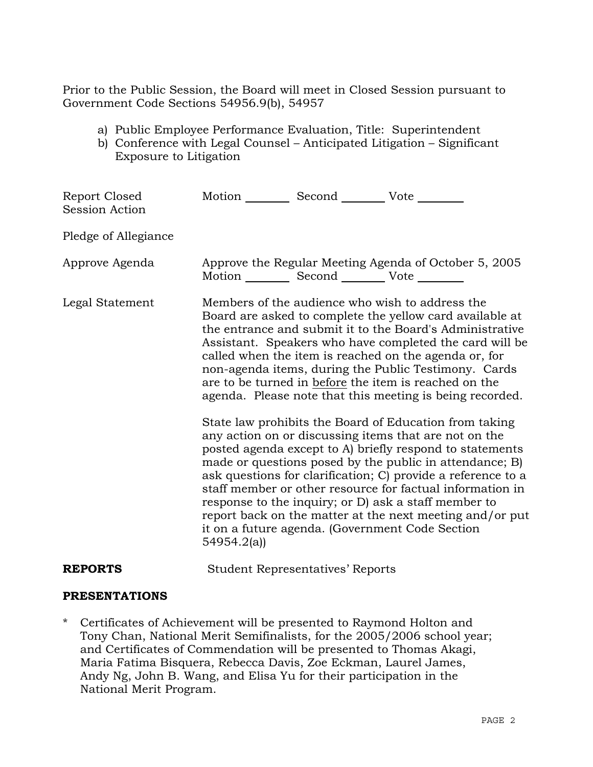Prior to the Public Session, the Board will meet in Closed Session pursuant to Government Code Sections 54956.9(b), 54957

- a) Public Employee Performance Evaluation, Title: Superintendent
- b) Conference with Legal Counsel Anticipated Litigation Significant Exposure to Litigation

| Report Closed<br><b>Session Action</b> | Motion __________ Second __________ Vote ________     |                                                                                                                                                                                                                                                                                                                                                                                                                                                                                                                                                                                                                                                                                                                                                                                                                                                                                                                                                                                                                        |
|----------------------------------------|-------------------------------------------------------|------------------------------------------------------------------------------------------------------------------------------------------------------------------------------------------------------------------------------------------------------------------------------------------------------------------------------------------------------------------------------------------------------------------------------------------------------------------------------------------------------------------------------------------------------------------------------------------------------------------------------------------------------------------------------------------------------------------------------------------------------------------------------------------------------------------------------------------------------------------------------------------------------------------------------------------------------------------------------------------------------------------------|
| Pledge of Allegiance                   |                                                       |                                                                                                                                                                                                                                                                                                                                                                                                                                                                                                                                                                                                                                                                                                                                                                                                                                                                                                                                                                                                                        |
| Approve Agenda                         | Motion ___________ Second ____________ Vote _________ | Approve the Regular Meeting Agenda of October 5, 2005                                                                                                                                                                                                                                                                                                                                                                                                                                                                                                                                                                                                                                                                                                                                                                                                                                                                                                                                                                  |
| Legal Statement                        | 54954.2(a)                                            | Members of the audience who wish to address the<br>Board are asked to complete the yellow card available at<br>the entrance and submit it to the Board's Administrative<br>Assistant. Speakers who have completed the card will be<br>called when the item is reached on the agenda or, for<br>non-agenda items, during the Public Testimony. Cards<br>are to be turned in before the item is reached on the<br>agenda. Please note that this meeting is being recorded.<br>State law prohibits the Board of Education from taking<br>any action on or discussing items that are not on the<br>posted agenda except to A) briefly respond to statements<br>made or questions posed by the public in attendance; B)<br>ask questions for clarification; C) provide a reference to a<br>staff member or other resource for factual information in<br>response to the inquiry; or D) ask a staff member to<br>report back on the matter at the next meeting and/or put<br>it on a future agenda. (Government Code Section |
| <b>REPORTS</b>                         | <b>Student Representatives' Reports</b>               |                                                                                                                                                                                                                                                                                                                                                                                                                                                                                                                                                                                                                                                                                                                                                                                                                                                                                                                                                                                                                        |

# **PRESENTATIONS**

\* Certificates of Achievement will be presented to Raymond Holton and Tony Chan, National Merit Semifinalists, for the 2005/2006 school year; and Certificates of Commendation will be presented to Thomas Akagi, Maria Fatima Bisquera, Rebecca Davis, Zoe Eckman, Laurel James, Andy Ng, John B. Wang, and Elisa Yu for their participation in the National Merit Program.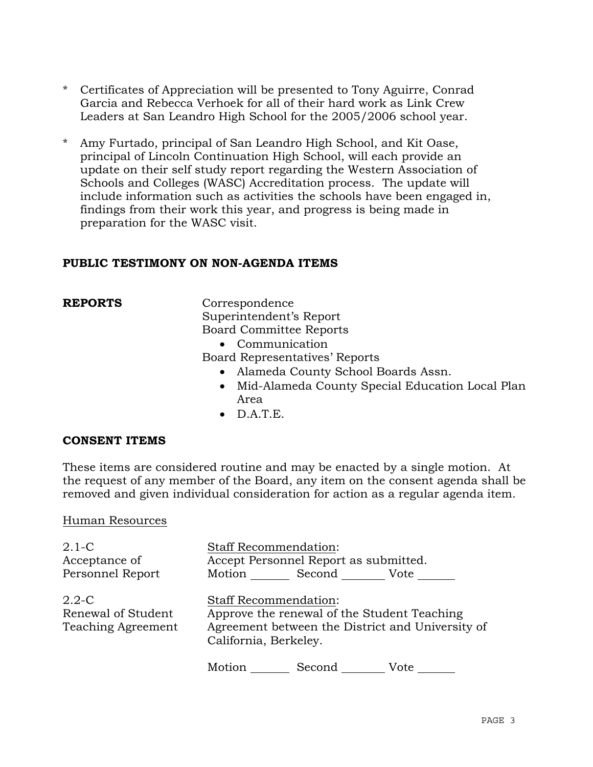- \* Certificates of Appreciation will be presented to Tony Aguirre, Conrad Garcia and Rebecca Verhoek for all of their hard work as Link Crew Leaders at San Leandro High School for the 2005/2006 school year.
- \* Amy Furtado, principal of San Leandro High School, and Kit Oase, principal of Lincoln Continuation High School, will each provide an update on their self study report regarding the Western Association of Schools and Colleges (WASC) Accreditation process. The update will include information such as activities the schools have been engaged in, findings from their work this year, and progress is being made in preparation for the WASC visit.

### **PUBLIC TESTIMONY ON NON-AGENDA ITEMS**

**REPORTS** Correspondence Superintendent's Report Board Committee Reports

• Communication

Board Representatives' Reports

- Alameda County School Boards Assn.
- Mid-Alameda County Special Education Local Plan Area
- $\bullet$  D.A.T.E.

#### **CONSENT ITEMS**

These items are considered routine and may be enacted by a single motion. At the request of any member of the Board, any item on the consent agenda shall be removed and given individual consideration for action as a regular agenda item.

#### Human Resources

| $2.1-C$<br>Acceptance of<br>Personnel Report                 | <b>Staff Recommendation:</b><br>Accept Personnel Report as submitted.<br>Motion Second Vote                                                       |
|--------------------------------------------------------------|---------------------------------------------------------------------------------------------------------------------------------------------------|
| $2.2 - C$<br>Renewal of Student<br><b>Teaching Agreement</b> | Staff Recommendation:<br>Approve the renewal of the Student Teaching<br>Agreement between the District and University of<br>California, Berkeley. |
|                                                              | Motion<br>Second<br>Vote                                                                                                                          |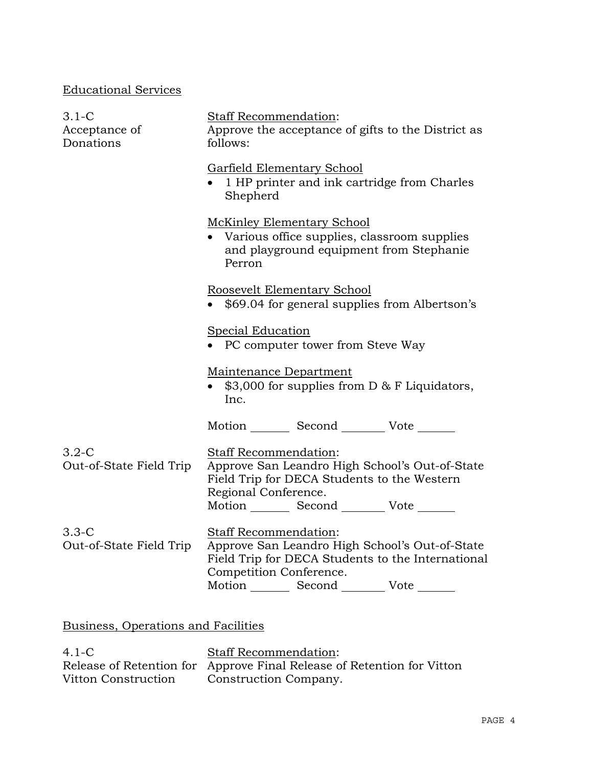## Educational Services

| $3.1-C$<br>Acceptance of<br>Donations | Staff Recommendation:<br>Approve the acceptance of gifts to the District as<br>follows:                                                                                                                           |  |  |  |  |
|---------------------------------------|-------------------------------------------------------------------------------------------------------------------------------------------------------------------------------------------------------------------|--|--|--|--|
|                                       | <b>Garfield Elementary School</b><br>1 HP printer and ink cartridge from Charles<br>Shepherd                                                                                                                      |  |  |  |  |
|                                       | <b>McKinley Elementary School</b><br>• Various office supplies, classroom supplies<br>and playground equipment from Stephanie<br>Perron                                                                           |  |  |  |  |
|                                       | Roosevelt Elementary School<br>\$69.04 for general supplies from Albertson's                                                                                                                                      |  |  |  |  |
|                                       | <b>Special Education</b><br>PC computer tower from Steve Way                                                                                                                                                      |  |  |  |  |
|                                       | Maintenance Department<br>\$3,000 for supplies from $D & F$ Liquidators,<br>Inc.                                                                                                                                  |  |  |  |  |
|                                       | Motion _________ Second _________ Vote _______                                                                                                                                                                    |  |  |  |  |
| $3.2-C$<br>Out-of-State Field Trip    | <b>Staff Recommendation:</b><br>Approve San Leandro High School's Out-of-State<br>Field Trip for DECA Students to the Western<br>Regional Conference.<br>Motion _________ Second __________ Vote _______          |  |  |  |  |
| $3.3-C$<br>Out-of-State Field Trip    | <b>Staff Recommendation:</b><br>Approve San Leandro High School's Out-of-State<br>Field Trip for DECA Students to the International<br>Competition Conference.<br>Motion _________ Second __________ Vote _______ |  |  |  |  |

# Business, Operations and Facilities

4.1-C Release of Retention for Approve Final Release of Retention for Vitton Vitton Construction Staff Recommendation: Construction Company.